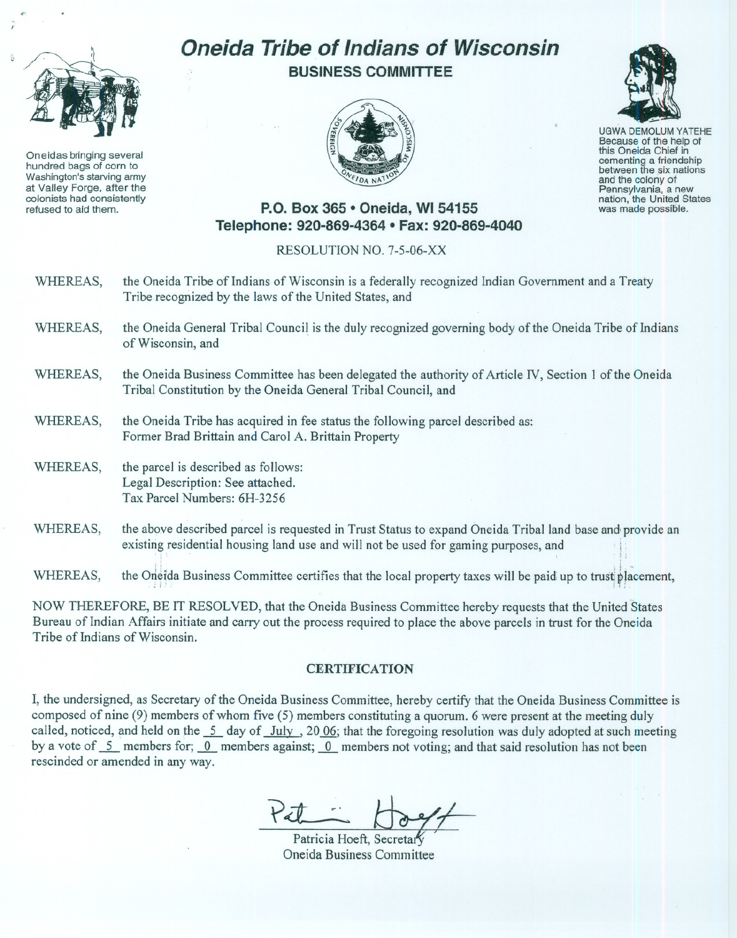

Oneidas bringing several hundred bags of corn to Washington's starving army at Valley Forge, after the colonists had consistently refused to aid them.

## **Oneida Tribe of Indians of Wisconsin BUSINESS COMMITTEE**





UGWA DEMOLUM YATEHE Because of the help of this Oneida Chief in between the six nations and the colony of<br>Pennsylvania, a new nation, the United States was made possible.

## **P.O. Box 365· Oneida,** WI 54155 **Telephone: 920-869-4364 • Fax: 920-869-4040**

## RESOLUTION NO. 7-5-06-XX

- WHEREAS, the Oneida Tribe of Indians of Wisconsin is a federally recognized Indian Government and a Treaty Tribe recognized by the laws of the United States, and
- WHEREAS, the Oneida General Tribal Council is the duly recognized governing body of the Oneida Tribe of Indians of Wisconsin, and
- WHEREAS, the Oneida Business Committee has been delegated the authority of Article TV, Section I of the Oneida Tribal Constitution by the Oneida General Tribal Council, and
- WHEREAS, the Oneida Tribe has acquired in fee status the following parcel described as: Former Brad Brittain and Carol A. Brittain Property
- WHEREAS, the parcel is described as follows: Legal Description: See attached. Tax Parcel Numbers: 6H-3256
- WHEREAS, the above described parcel is requested in Trust Status to expand Oneida Tribal land base and provide an existing residential housing land use and will not be used for gaming purposes, and

WHEREAS, the Origida Business Committee certifies that the local property taxes will be paid up to trust placement,

NOW THEREFORE, BE IT RESOLVED, that the Oneida Business Committee hereby requests that the United States Bureau of Indian Affairs initiate and carry out the process required to place the above parcels in trust for the Oneida Tribe of Indians of Wisconsin.

## **CERTIFICATION**

I, the undersigned, as Secretary of the Oneida Business Committee, hereby certify that the Oneida Business Committee is composed of nine (9) members of whom five (5) members constituting a quorum. 6 were present at the meeting duly called, noticed, and held on the  $\frac{5}{9}$  day of July, 20 06; that the foregoing resolution was duly adopted at such meeting by a vote of 5 members for; 0 members against; 0 members not voting; and that said resolution has not been rescinded or amended in any way.

Patricia Hoeft, Secreta! Oneida Business Committee